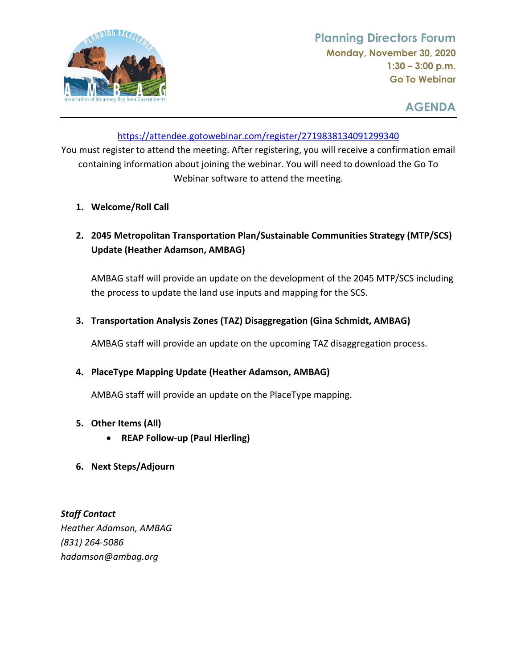

**AGENDA** 

## <https://attendee.gotowebinar.com/register/2719838134091299340>

 You must register to attend the meeting. After registering, you will receive a confirmation email containing information about joining the webinar. You will need to download the Go To Webinar software to attend the meeting.

- **1. Welcome/Roll Call**
- **2. 2045 Metropolitan Transportation Plan/Sustainable Communities Strategy (MTP/SCS) Update (Heather Adamson, AMBAG)**

 AMBAG staff will provide an update on the development of the 2045 MTP/SCS including the process to update the land use inputs and mapping for the SCS.

 **3. Transportation Analysis Zones (TAZ) Disaggregation (Gina Schmidt, AMBAG)**

AMBAG staff will provide an update on the upcoming TAZ disaggregation process.

## **4. PlaceType Mapping Update (Heather Adamson, AMBAG)**

AMBAG staff will provide an update on the PlaceType mapping.

- **5. Other Items (All)**
	- **REAP Follow‐up (Paul Hierling)**
- **6. Next Steps/Adjourn**

 *Staff Contact Heather Adamson, AMBAG (831) 264‐5086 [hadamson@ambag.org](mailto:hadamson@ambag.org)*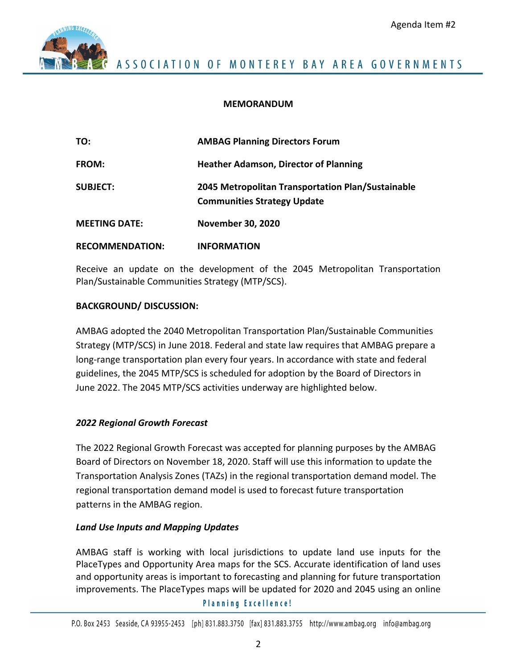

#### **MEMORANDUM**

| TO:                    | <b>AMBAG Planning Directors Forum</b>                                                   |
|------------------------|-----------------------------------------------------------------------------------------|
| <b>FROM:</b>           | <b>Heather Adamson, Director of Planning</b>                                            |
| <b>SUBJECT:</b>        | 2045 Metropolitan Transportation Plan/Sustainable<br><b>Communities Strategy Update</b> |
| <b>MEETING DATE:</b>   | <b>November 30, 2020</b>                                                                |
| <b>RECOMMENDATION:</b> | <b>INFORMATION</b>                                                                      |

 Receive an update on the development of the 2045 Metropolitan Transportation Plan/Sustainable Communities Strategy (MTP/SCS).

#### **BACKGROUND/ DISCUSSION:**

 AMBAG adopted the 2040 Metropolitan Transportation Plan/Sustainable Communities Strategy (MTP/SCS) in June 2018. Federal and state law requires that AMBAG prepare a long‐range transportation plan every four years. In accordance with state and federal guidelines, the 2045 MTP/SCS is scheduled for adoption by the Board of Directors in June 2022. The 2045 MTP/SCS activities underway are highlighted below.

### *2022 Regional Growth Forecast*

 The 2022 Regional Growth Forecast was accepted for planning purposes by the AMBAG Board of Directors on November 18, 2020. Staff will use this information to update the Transportation Analysis Zones (TAZs) in the regional transportation demand model. The regional transportation demand model is used to forecast future transportation patterns in the AMBAG region.

### *Land Use Inputs and Mapping Updates*

 AMBAG staff is working with local jurisdictions to update land use inputs for the PlaceTypes and Opportunity Area maps for the SCS. Accurate identification of land uses and opportunity areas is important to forecasting and planning for future transportation improvements. The PlaceTypes maps will be updated for 2020 and 2045 using an online

**Planning Excellence!**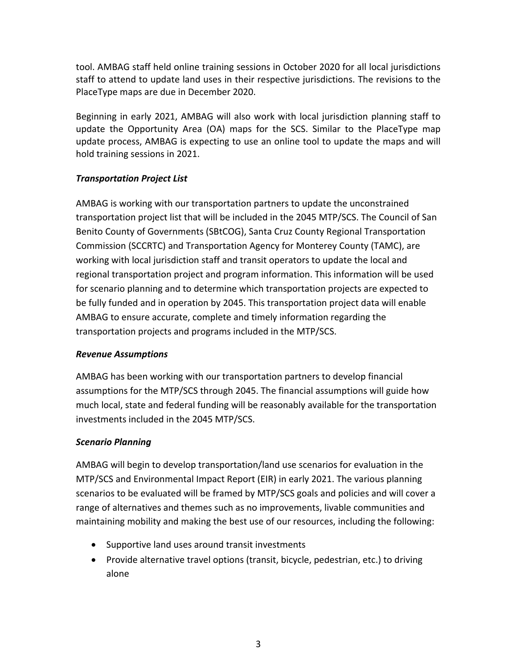tool. AMBAG staff held online training sessions in October 2020 for all local jurisdictions staff to attend to update land uses in their respective jurisdictions. The revisions to the PlaceType maps are due in December 2020.

 Beginning in early 2021, AMBAG will also work with local jurisdiction planning staff to update the Opportunity Area (OA) maps for the SCS. Similar to the PlaceType map update process, AMBAG is expecting to use an online tool to update the maps and will hold training sessions in 2021.

## *Transportation Project List*

 AMBAG is working with our transportation partners to update the unconstrained transportation project list that will be included in the 2045 MTP/SCS. The Council of San Benito County of Governments (SBtCOG), Santa Cruz County Regional Transportation Commission (SCCRTC) and Transportation Agency for Monterey County (TAMC), are working with local jurisdiction staff and transit operators to update the local and regional transportation project and program information. This information will be used for scenario planning and to determine which transportation projects are expected to be fully funded and in operation by 2045. This transportation project data will enable AMBAG to ensure accurate, complete and timely information regarding the transportation projects and programs included in the MTP/SCS.

### *Revenue Assumptions*

 AMBAG has been working with our transportation partners to develop financial assumptions for the MTP/SCS through 2045. The financial assumptions will guide how much local, state and federal funding will be reasonably available for the transportation investments included in the 2045 MTP/SCS.

## *Scenario Planning*

 AMBAG will begin to develop transportation/land use scenarios for evaluation in the MTP/SCS and Environmental Impact Report (EIR) in early 2021. The various planning scenarios to be evaluated will be framed by MTP/SCS goals and policies and will cover a range of alternatives and themes such as no improvements, livable communities and maintaining mobility and making the best use of our resources, including the following:

- Supportive land uses around transit investments
- Provide alternative travel options (transit, bicycle, pedestrian, etc.) to driving alone